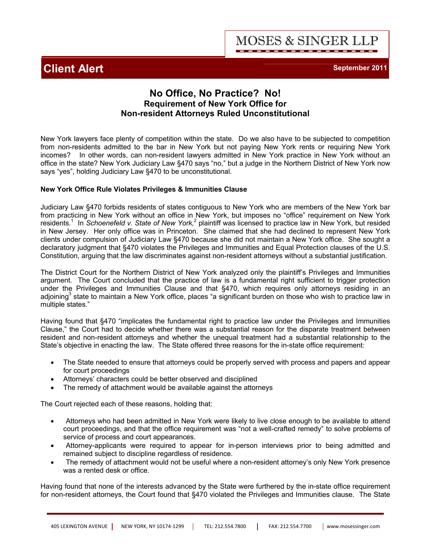

# **No Office, No Practice? No! Requirement of New York Office for Non-resident Attorneys Ruled Unconstitutional**

New York lawyers face plenty of competition within the state. Do we also have to be subjected to competition from non-residents admitted to the bar in New York but not paying New York rents or requiring New York incomes? In other words, can non-resident lawyers admitted in New York practice in New York without an office in the state? New York Judiciary Law §470 says "no," but a judge in the Northern District of New York now says "yes", holding Judiciary Law §470 to be unconstitutional.

# **New York Office Rule Violates Privileges & Immunities Clause**

Judiciary Law §470 forbids residents of states contiguous to New York who are members of the New York bar from practicing in New York without an office in New York, but imposes no "office" requirement on New York residents.<sup>1</sup> In *Schoenefeld v. State of New York*,<sup>2</sup> plaintiff was licensed to practice law in New York, but resided in New Jersey. Her only office was in Princeton. She claimed that she had declined to represent New York clients under compulsion of Judiciary Law §470 because she did not maintain a New York office. She sought a declaratory judgment that §470 violates the Privileges and Immunities and Equal Protection clauses of the U.S. Constitution, arguing that the law discriminates against non-resident attorneys without a substantial justification.

The District Court for the Northern District of New York analyzed only the plaintiff's Privileges and Immunities argument. The Court concluded that the practice of law is a fundamental right sufficient to trigger protection under the Privileges and Immunities Clause and that §470, which requires only attorneys residing in an adjoining<sup>3</sup> state to maintain a New York office, places "a significant burden on those who wish to practice law in multiple states."

Having found that §470 "implicates the fundamental right to practice law under the Privileges and Immunities Clause," the Court had to decide whether there was a substantial reason for the disparate treatment between resident and non-resident attorneys and whether the unequal treatment had a substantial relationship to the State's objective in enacting the law. The State offered three reasons for the in-state office requirement:

- · The State needed to ensure that attorneys could be properly served with process and papers and appear for court proceedings
- Attorneys' characters could be better observed and disciplined
- The remedy of attachment would be available against the attorneys

The Court rejected each of these reasons, holding that:

- · Attorneys who had been admitted in New York were likely to live close enough to be available to attend court proceedings, and that the office requirement was "not a well-crafted remedy" to solve problems of service of process and court appearances.
- · Attorney-applicants were required to appear for in-person interviews prior to being admitted and remained subject to discipline regardless of residence.
- The remedy of attachment would not be useful where a non-resident attorney's only New York presence was a rented desk or office.

Having found that none of the interests advanced by the State were furthered by the in-state office requirement for non-resident attorneys, the Court found that §470 violated the Privileges and Immunities clause. The State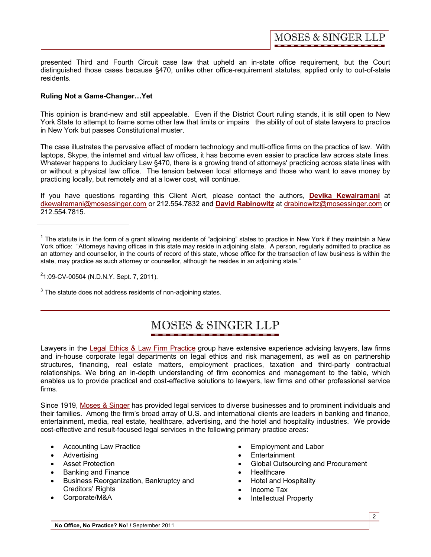**MOSES & SINGER LLP** 

presented Third and Fourth Circuit case law that upheld an in-state office requirement, but the Court distinguished those cases because §470, unlike other office-requirement statutes, applied only to out-of-state residents.

## **Ruling Not a Game-Changer…Yet**

This opinion is brand-new and still appealable. Even if the District Court ruling stands, it is still open to New York State to attempt to frame some other law that limits or impairs the ability of out of state lawyers to practice in New York but passes Constitutional muster.

The case illustrates the pervasive effect of modern technology and multi-office firms on the practice of law. With laptops, Skype, the internet and virtual law offices, it has become even easier to practice law across state lines. Whatever happens to Judiciary Law §470, there is a growing trend of attorneys' practicing across state lines with or without a physical law office. The tension between local attorneys and those who want to save money by practicing locally, but remotely and at a lower cost, will continue.

If you have questions regarding this Client Alert, please contact the authors, **[Devika Kewalramani](http://www.mosessinger.com/personnel/dkewalramani/)** at dkewalramani@mosessinger.com or 212.554.7832 and **[David Rabinowitz](http://www.mosessinger.com/personnel/drabinowitz/)** at drabinowitz@mosessinger.com or 212.554.7815.

2 1:09-CV-00504 (N.D.N.Y. Sept. 7, 2011).

 $3$  The statute does not address residents of non-adjoining states.

# **MOSES & SINGER LLP** \_\_\_\_\_\_\_\_\_\_\_\_\_\_\_\_\_\_\_\_\_\_\_

Lawyers in the [Legal Ethics & Law Firm Practice](http://www.mosessinger.com/LegalEthics/) group have extensive experience advising lawyers, law firms and in-house corporate legal departments on legal ethics and risk management, as well as on partnership structures, financing, real estate matters, employment practices, taxation and third-party contractual relationships. We bring an in-depth understanding of firm economics and management to the table, which enables us to provide practical and cost-effective solutions to lawyers, law firms and other professional service firms.

Since 1919, [Moses & Singer](http://www.mosessinger.com/firm_profile/firm_description.php) has provided legal services to diverse businesses and to prominent individuals and their families. Among the firm's broad array of U.S. and international clients are leaders in banking and finance, entertainment, media, real estate, healthcare, advertising, and the hotel and hospitality industries. We provide cost-effective and result-focused legal services in the following primary practice areas:

- **Accounting Law Practice**
- · Advertising
- **Asset Protection**
- Banking and Finance
- · Business Reorganization, Bankruptcy and Creditors' Rights
- Corporate/M&A
- Employment and Labor
- · Entertainment
- Global Outsourcing and Procurement
- **Healthcare**
- · Hotel and Hospitality
- · Income Tax
- **Intellectual Property**

 $1$  The statute is in the form of a grant allowing residents of "adjoining" states to practice in New York if they maintain a New York office: "Attorneys having offices in this state may reside in adjoining state. A person, regularly admitted to practice as an attorney and counsellor, in the courts of record of this state, whose office for the transaction of law business is within the state, may practice as such attorney or counsellor, although he resides in an adjoining state."